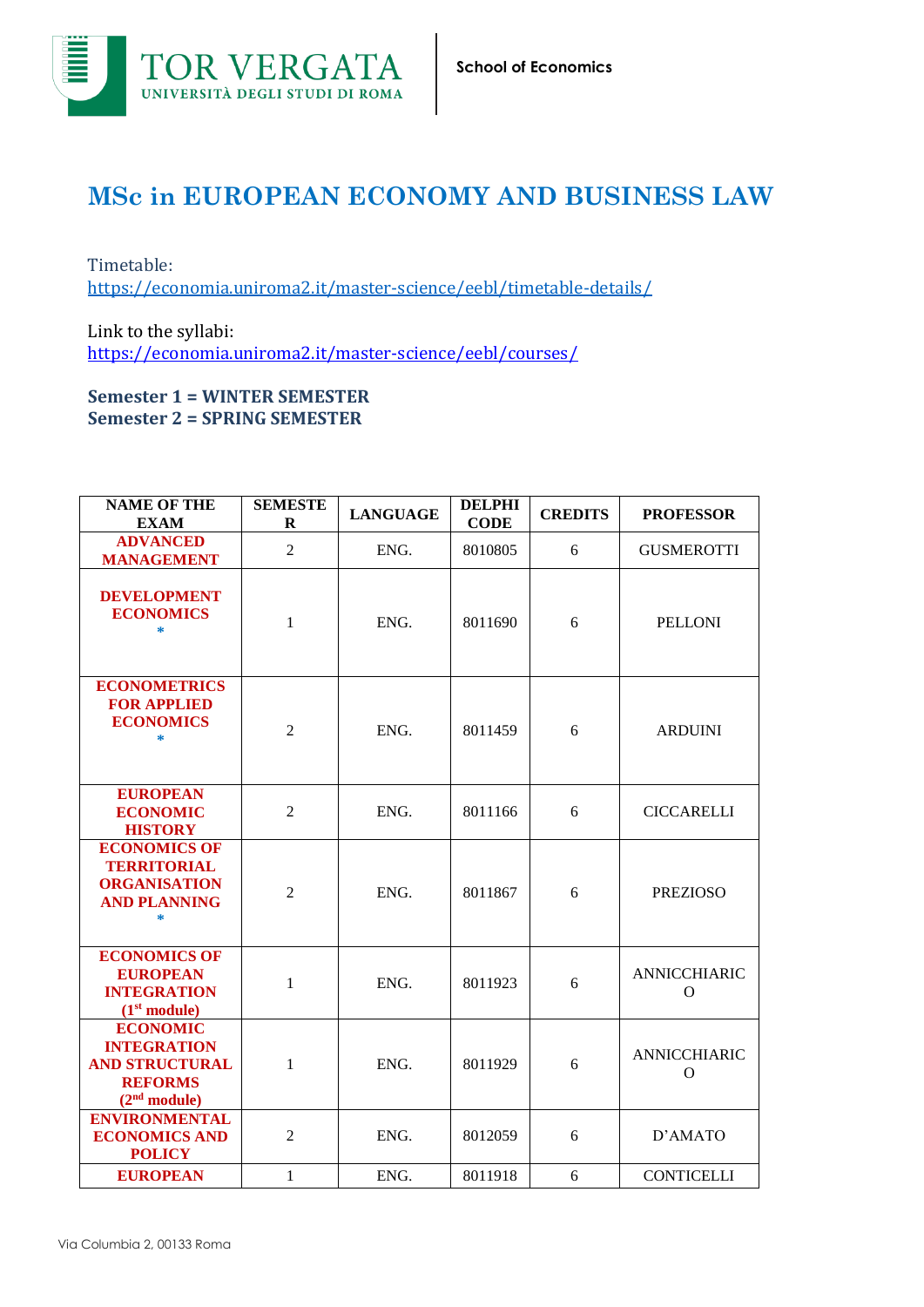

## **MSc in EUROPEAN ECONOMY AND BUSINESS LAW**

Timetable: <https://economia.uniroma2.it/master-science/eebl/timetable-details/>

Link to the syllabi: https://economia.uniroma2.it/master-science/eebl/courses/

## **Semester 1 = WINTER SEMESTER Semester 2 = SPRING SEMESTER**

| <b>NAME OF THE</b><br><b>EXAM</b>                                                                            | <b>SEMESTE</b><br>R | <b>LANGUAGE</b> | <b>DELPHI</b><br><b>CODE</b> | <b>CREDITS</b> | <b>PROFESSOR</b>                    |
|--------------------------------------------------------------------------------------------------------------|---------------------|-----------------|------------------------------|----------------|-------------------------------------|
| <b>ADVANCED</b><br><b>MANAGEMENT</b>                                                                         | $\overline{2}$      | ENG.            | 8010805                      | 6              | <b>GUSMEROTTI</b>                   |
| <b>DEVELOPMENT</b><br><b>ECONOMICS</b><br>$\ast$                                                             | 1                   | ENG.            | 8011690                      | 6              | <b>PELLONI</b>                      |
| <b>ECONOMETRICS</b><br><b>FOR APPLIED</b><br><b>ECONOMICS</b><br>$\ast$                                      | $\overline{2}$      | ENG.            | 8011459                      | 6              | <b>ARDUINI</b>                      |
| <b>EUROPEAN</b><br><b>ECONOMIC</b><br><b>HISTORY</b>                                                         | $\overline{2}$      | ENG.            | 8011166                      | 6              | <b>CICCARELLI</b>                   |
| <b>ECONOMICS OF</b><br><b>TERRITORIAL</b><br><b>ORGANISATION</b><br><b>AND PLANNING</b><br>*                 | $\overline{2}$      | ENG.            | 8011867                      | 6              | <b>PREZIOSO</b>                     |
| <b>ECONOMICS OF</b><br><b>EUROPEAN</b><br><b>INTEGRATION</b><br>(1 <sup>st</sup> module)                     | 1                   | ENG.            | 8011923                      | 6              | <b>ANNICCHIARIC</b><br>$\mathbf{O}$ |
| <b>ECONOMIC</b><br><b>INTEGRATION</b><br><b>AND STRUCTURAL</b><br><b>REFORMS</b><br>(2 <sup>nd</sup> module) | 1                   | ENG.            | 8011929                      | 6              | ANNICCHIARIC<br>O                   |
| <b>ENVIRONMENTAL</b><br><b>ECONOMICS AND</b><br><b>POLICY</b>                                                | $\overline{2}$      | ENG.            | 8012059                      | 6              | D'AMATO                             |
| <b>EUROPEAN</b>                                                                                              | 1                   | ENG.            | 8011918                      | 6              | <b>CONTICELLI</b>                   |